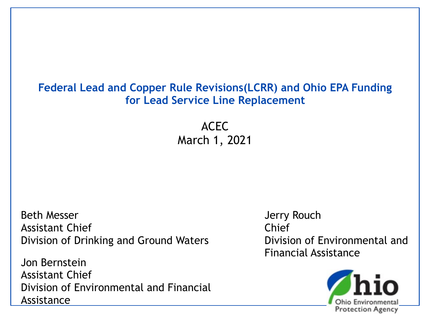#### **Federal Lead and Copper Rule Revisions(LCRR) and Ohio EPA Funding for Lead Service Line Replacement**

ACEC March 1, 2021

Beth Messer Assistant Chief Division of Drinking and Ground Waters

Jon Bernstein Assistant Chief Division of Environmental and Financial Assistance

Jerry Rouch Chief Division of Environmental and Financial Assistance

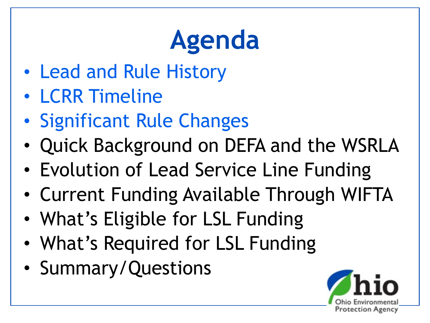## **Agenda**

- Lead and Rule History
- LCRR Timeline
- Significant Rule Changes
- Quick Background on DEFA and the WSRLA
- Evolution of Lead Service Line Funding
- Current Funding Available Through WIFTA
- What's Eligible for LSL Funding
- What's Required for LSL Funding
- Summary/Questions

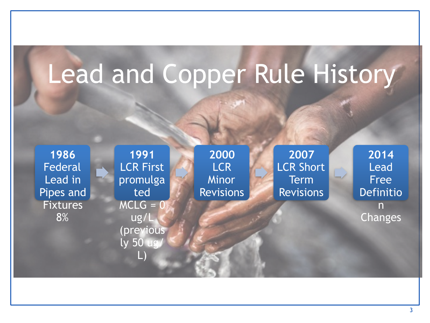## Lead and Copper Rule History

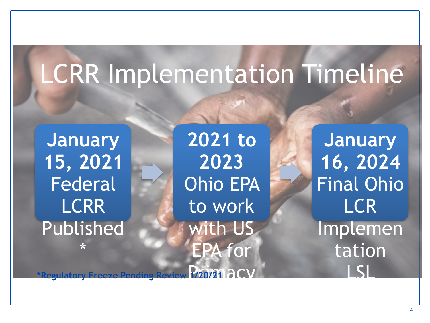## LCRR Implementation Timeline

**January 15, 2021** Federal **LCRR** Published

\*

**2021 to 2023** Ohio EPA to work with US EPA for

**January 16, 2024** Final Ohio LCR Implemen tation LSL

Inventory

g Review 1/20/21 2CV **\*Regulatory Freeze Pending Review 1/20/21**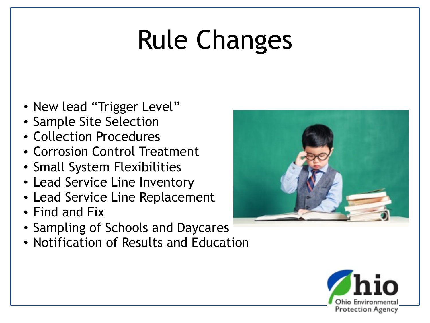## Rule Changes

- New lead "Trigger Level"
- Sample Site Selection
- Collection Procedures
- Corrosion Control Treatment
- Small System Flexibilities
- Lead Service Line Inventory
- Lead Service Line Replacement
- Find and Fix
- Sampling of Schools and Daycares
- Notification of Results and Education



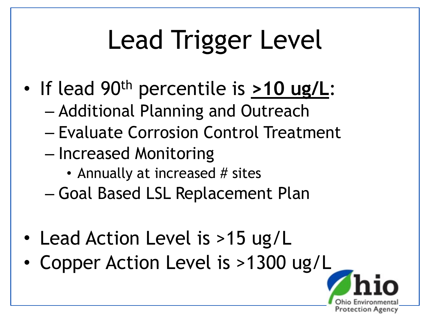## Lead Trigger Level

- If lead 90th percentile is **>10 ug/L**:
	- Additional Planning and Outreach
	- Evaluate Corrosion Control Treatment
	- Increased Monitoring
		- Annually at increased # sites
	- Goal Based LSL Replacement Plan
- Lead Action Level is >15 ug/L
- Copper Action Level is >1300 ug/L

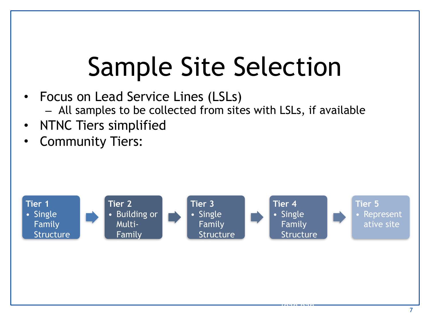## Sample Site Selection

- Focus on Lead Service Lines (LSLs)
	- All samples to be collected from sites with LSLs, if available
- NTNC Tiers simplified
- Community Tiers:



||**|||||||||||||||||||**<br>|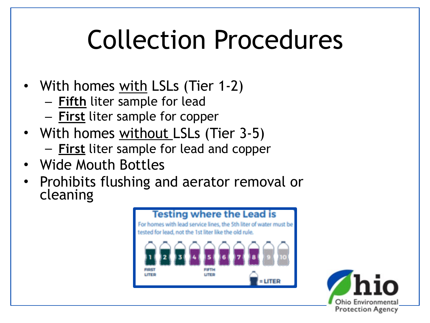## Collection Procedures

- With homes with LSLs (Tier 1-2)
	- **Fifth** liter sample for lead
	- **First** liter sample for copper
- With homes without LSLs (Tier 3-5)
	- **First** liter sample for lead and copper
- Wide Mouth Bottles
- Prohibits flushing and aerator removal or cleaning



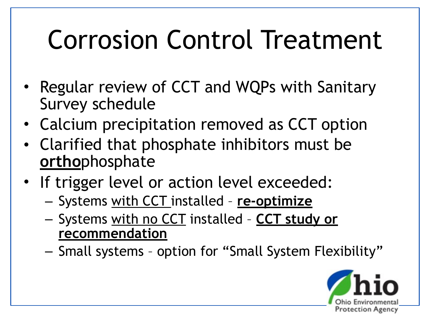## Corrosion Control Treatment

- Regular review of CCT and WQPs with Sanitary Survey schedule
- Calcium precipitation removed as CCT option
- Clarified that phosphate inhibitors must be **ortho**phosphate
- If trigger level or action level exceeded:
	- Systems with CCT installed **re-optimize**
	- Systems with no CCT installed **CCT study or recommendation**
	- Small systems option for "Small System Flexibility"

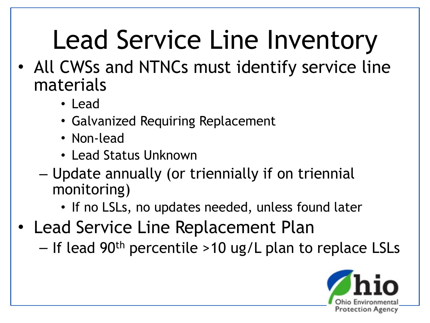## Lead Service Line Inventory

- All CWSs and NTNCs must identify service line materials
	- Lead
	- Galvanized Requiring Replacement
	- Non-lead
	- Lead Status Unknown
	- Update annually (or triennially if on triennial monitoring)
		- If no LSLs, no updates needed, unless found later
- Lead Service Line Replacement Plan
	- If lead 90<sup>th</sup> percentile >10 ug/L plan to replace LSLs

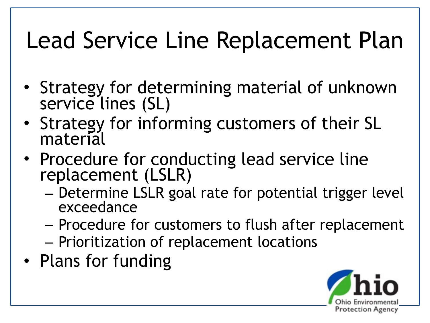### Lead Service Line Replacement Plan

- Strategy for determining material of unknown service lines (SL)
- Strategy for informing customers of their SL material
- Procedure for conducting lead service line replacement (LSLR)
	- Determine LSLR goal rate for potential trigger level exceedance
	- Procedure for customers to flush after replacement
	- Prioritization of replacement locations
- Plans for funding

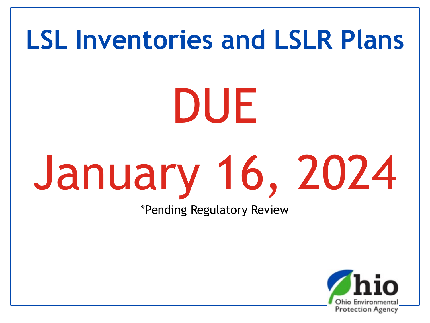# **LSL Inventories and LSLR Plans** DUE January 16, 2024 \*Pending Regulatory Review

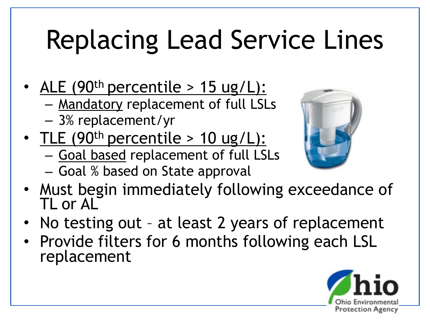## Replacing Lead Service Lines

- ALE  $(90<sup>th</sup>$  percentile > 15 ug/L):
	- Mandatory replacement of full LSLs
	- 3% replacement/yr
- TLE  $(90<sup>th</sup>$  percentile > 10 ug/L):
	- Goal based replacement of full LSLs
	- Goal % based on State approval



- Must begin immediately following exceedance of TL or AL
- No testing out at least 2 years of replacement
- Provide filters for 6 months following each LSL replacement

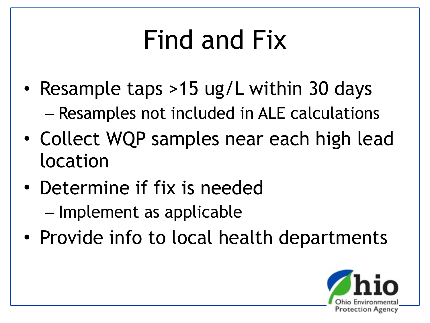## Find and Fix

- Resample taps >15 ug/L within 30 days – Resamples not included in ALE calculations
- Collect WQP samples near each high lead location
- Determine if fix is needed – Implement as applicable
- Provide info to local health departments

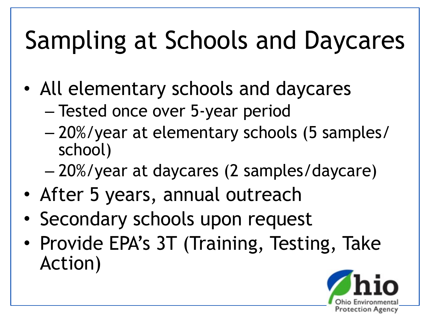## Sampling at Schools and Daycares

- All elementary schools and daycares
	- Tested once over 5-year period
	- 20%/year at elementary schools (5 samples/ school)
	- 20%/year at daycares (2 samples/daycare)
- After 5 years, annual outreach
- Secondary schools upon request
- Provide EPA's 3T (Training, Testing, Take Action)

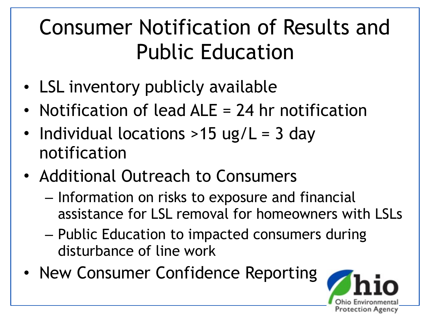#### Consumer Notification of Results and Public Education

- LSL inventory publicly available
- Notification of lead ALE = 24 hr notification
- Individual locations >15 ug/L = 3 day notification
- Additional Outreach to Consumers
	- Information on risks to exposure and financial assistance for LSL removal for homeowners with LSLs
	- Public Education to impacted consumers during disturbance of line work
- New Consumer Confidence Reporting

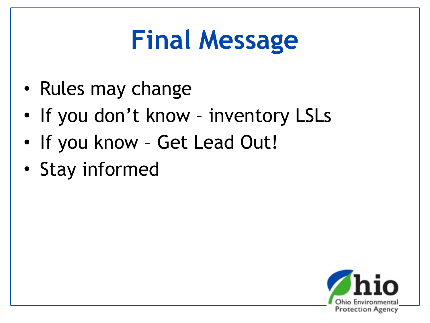## **Final Message**

- Rules may change
- If you don't know inventory LSLs
- If you know Get Lead Out!
- Stay informed

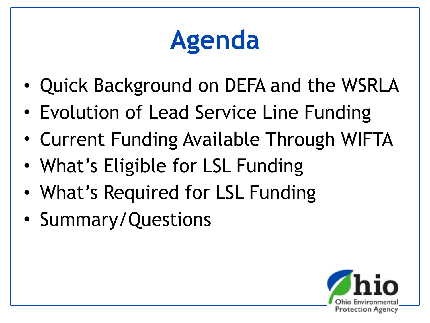## **Agenda**

- Quick Background on DEFA and the WSRLA
- Evolution of Lead Service Line Funding
- Current Funding Available Through WIFTA
- What's Eligible for LSL Funding
- What's Required for LSL Funding
- Summary/Questions

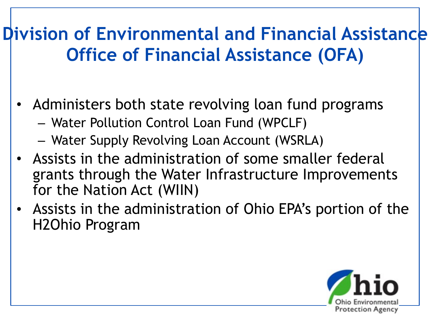#### **Division of Environmental and Financial Assistance Office of Financial Assistance (OFA)**

- Administers both state revolving loan fund programs
	- Water Pollution Control Loan Fund (WPCLF)
	- Water Supply Revolving Loan Account (WSRLA)
- Assists in the administration of some smaller federal grants through the Water Infrastructure Improvements for the Nation Act (WIIN)
- Assists in the administration of Ohio EPA's portion of the H2Ohio Program

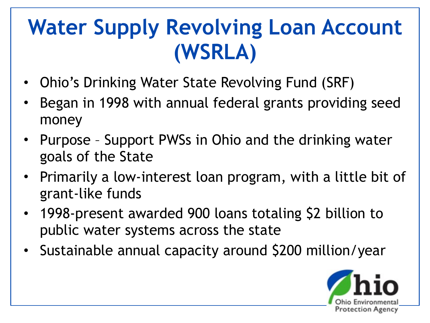#### **Water Supply Revolving Loan Account (WSRLA)**

- Ohio's Drinking Water State Revolving Fund (SRF)
- Began in 1998 with annual federal grants providing seed money
- Purpose Support PWSs in Ohio and the drinking water goals of the State
- Primarily a low-interest loan program, with a little bit of grant-like funds
- 1998-present awarded 900 loans totaling \$2 billion to public water systems across the state
- Sustainable annual capacity around \$200 million/year

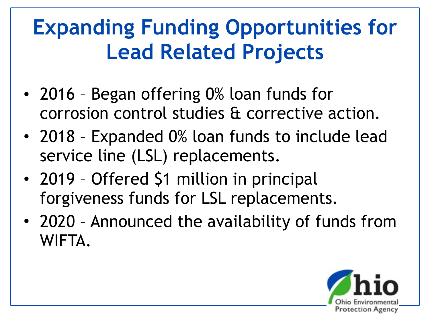#### **Expanding Funding Opportunities for Lead Related Projects**

- 2016 Began offering 0% loan funds for corrosion control studies & corrective action.
- 2018 Expanded 0% loan funds to include lead service line (LSL) replacements.
- 2019 Offered \$1 million in principal forgiveness funds for LSL replacements.
- 2020 Announced the availability of funds from WIFTA.

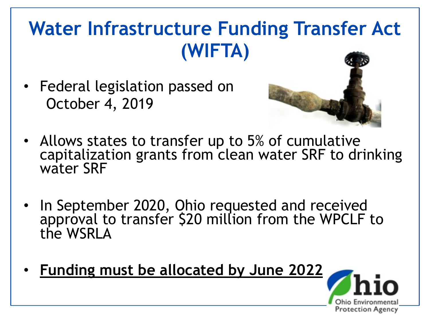#### **Water Infrastructure Funding Transfer Act (WIFTA)**

• Federal legislation passed on October 4, 2019



- Allows states to transfer up to 5% of cumulative capitalization grants from clean water SRF to drinking water SRF
- In September 2020, Ohio requested and received approval to transfer \$20 million from the WPCLF to the WSRLA
- **Funding must be allocated by June 2022**

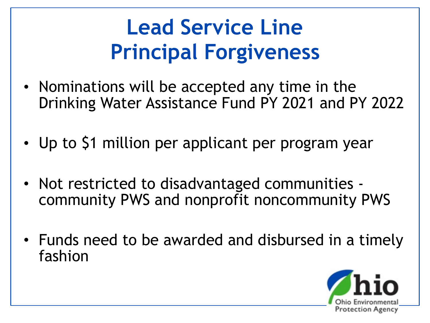#### **Lead Service Line Principal Forgiveness**

- Nominations will be accepted any time in the Drinking Water Assistance Fund PY 2021 and PY 2022
- Up to \$1 million per applicant per program year
- Not restricted to disadvantaged communities community PWS and nonprofit noncommunity PWS
- Funds need to be awarded and disbursed in a timely fashion

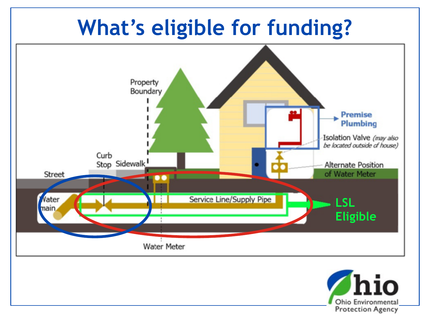#### **What's eligible for funding?**



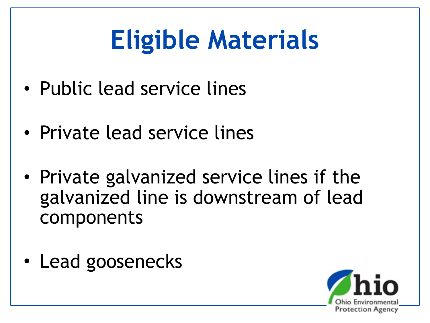## **Eligible Materials**

- Public lead service lines
- Private lead service lines
- Private galvanized service lines if the galvanized line is downstream of lead components
- Lead goosenecks

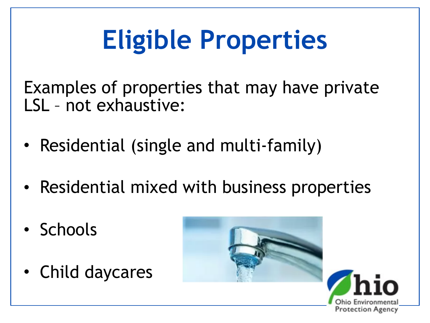## **Eligible Properties**

Examples of properties that may have private LSL – not exhaustive:

- Residential (single and multi-family)
- Residential mixed with business properties
- Schools
- Child daycares



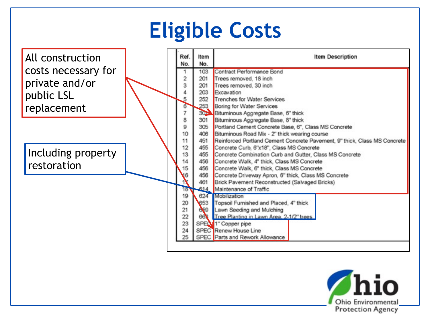#### **Eligible Costs**



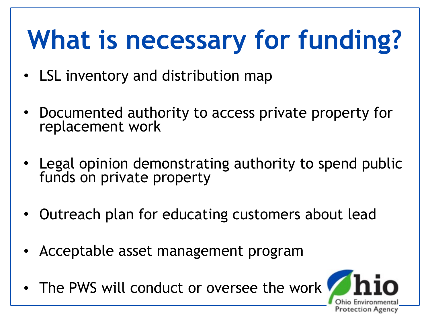## **What is necessary for funding?**

- LSL inventory and distribution map
- Documented authority to access private property for replacement work
- Legal opinion demonstrating authority to spend public funds on private property
- Outreach plan for educating customers about lead
- Acceptable asset management program
- The PWS will conduct or oversee the work

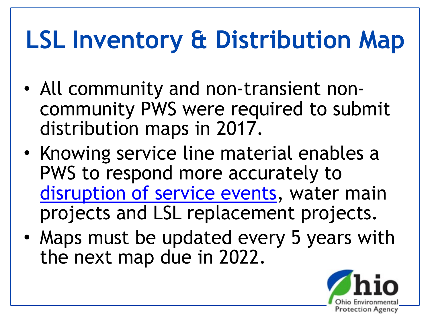## **LSL Inventory & Distribution Map**

- All community and non-transient noncommunity PWS were required to submit distribution maps in 2017.
- Knowing service line material enables a PWS to respond more accurately to [disruption of service events](https://epa.ohio.gov/Portals/28/documents/pws/PWS-06-001.pdf), water main projects and LSL replacement projects.
- Maps must be updated every 5 years with the next map due in 2022.

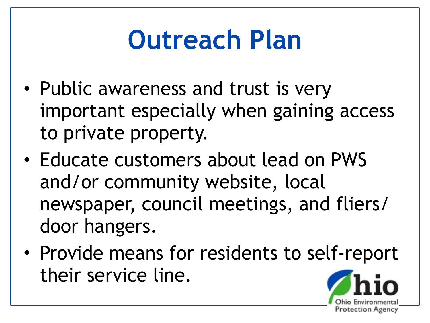## **Outreach Plan**

- Public awareness and trust is very important especially when gaining access to private property.
- Educate customers about lead on PWS and/or community website, local newspaper, council meetings, and fliers/ door hangers.
- Provide means for residents to self-report their service line.

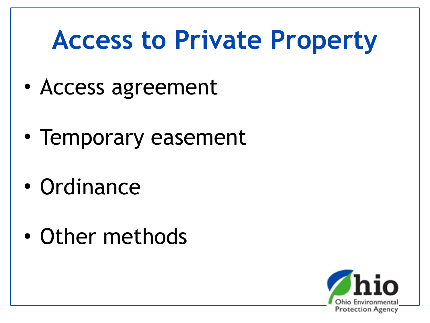## **Access to Private Property**

- Access agreement
- Temporary easement
- Ordinance
- Other methods

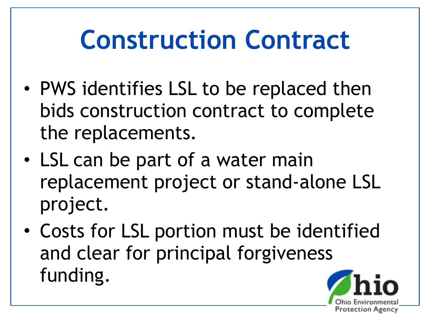## **Construction Contract**

- PWS identifies LSL to be replaced then bids construction contract to complete the replacements.
- LSL can be part of a water main replacement project or stand-alone LSL project.
- Costs for LSL portion must be identified and clear for principal forgiveness funding.

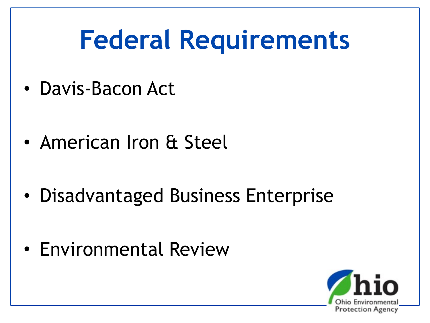## **Federal Requirements**

- Davis-Bacon Act
- American Iron & Steel
- Disadvantaged Business Enterprise
- Environmental Review

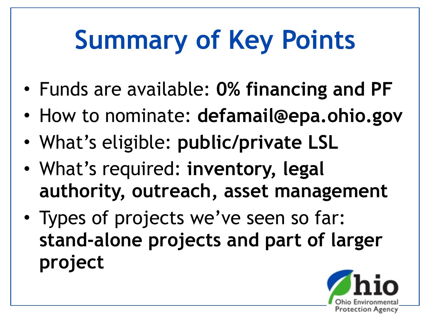## **Summary of Key Points**

- Funds are available: **0% financing and PF**
- How to nominate: **defamail@epa.ohio.gov**
- What's eligible: **public/private LSL**
- What's required: **inventory, legal authority, outreach, asset management**
- Types of projects we've seen so far: **stand-alone projects and part of larger project**